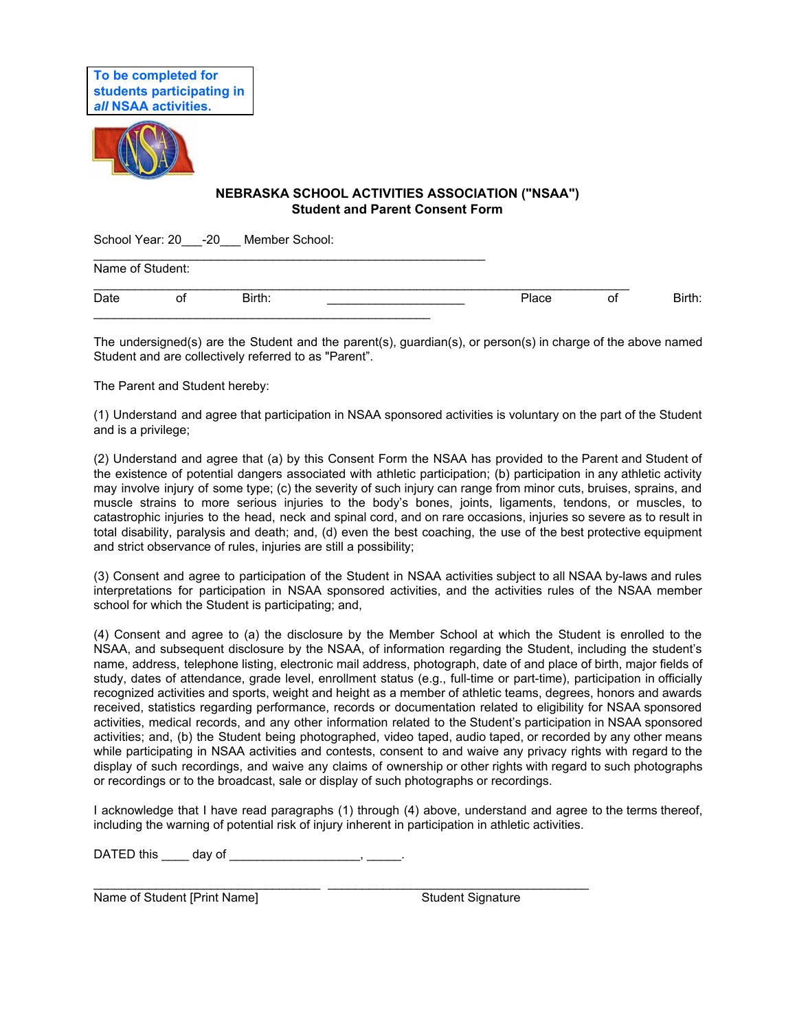

## **NEBRASKA SCHOOL ACTIVITIES ASSOCIATION ("NSAA") Student and Parent Consent Form**

School Year: 20 -20 Member School:

| Name of Student: |    |        |  |       |    |        |  |  |
|------------------|----|--------|--|-------|----|--------|--|--|
| Date             | οt | Birth: |  | Place | οt | Birth: |  |  |

The undersigned(s) are the Student and the parent(s), guardian(s), or person(s) in charge of the above named Student and are collectively referred to as "Parent".

The Parent and Student hereby:

(1) Understand and agree that participation in NSAA sponsored activities is voluntary on the part of the Student and is a privilege;

(2) Understand and agree that (a) by this Consent Form the NSAA has provided to the Parent and Student of the existence of potential dangers associated with athletic participation; (b) participation in any athletic activity may involve injury of some type; (c) the severity of such injury can range from minor cuts, bruises, sprains, and muscle strains to more serious injuries to the body's bones, joints, ligaments, tendons, or muscles, to catastrophic injuries to the head, neck and spinal cord, and on rare occasions, injuries so severe as to result in total disability, paralysis and death; and, (d) even the best coaching, the use of the best protective equipment and strict observance of rules, injuries are still a possibility;

(3) Consent and agree to participation of the Student in NSAA activities subject to all NSAA by-laws and rules interpretations for participation in NSAA sponsored activities, and the activities rules of the NSAA member school for which the Student is participating; and,

(4) Consent and agree to (a) the disclosure by the Member School at which the Student is enrolled to the NSAA, and subsequent disclosure by the NSAA, of information regarding the Student, including the student's name, address, telephone listing, electronic mail address, photograph, date of and place of birth, major fields of study, dates of attendance, grade level, enrollment status (e.g., full-time or part-time), participation in officially recognized activities and sports, weight and height as a member of athletic teams, degrees, honors and awards received, statistics regarding performance, records or documentation related to eligibility for NSAA sponsored activities, medical records, and any other information related to the Student's participation in NSAA sponsored activities; and, (b) the Student being photographed, video taped, audio taped, or recorded by any other means while participating in NSAA activities and contests, consent to and waive any privacy rights with regard to the display of such recordings, and waive any claims of ownership or other rights with regard to such photographs or recordings or to the broadcast, sale or display of such photographs or recordings.

I acknowledge that I have read paragraphs (1) through (4) above, understand and agree to the terms thereof, including the warning of potential risk of injury inherent in participation in athletic activities.

\_\_\_\_\_\_\_\_\_\_\_\_\_\_\_\_\_\_\_\_\_\_\_\_\_\_\_\_\_\_\_\_\_ \_\_\_\_\_\_\_\_\_\_\_\_\_\_\_\_\_\_\_\_\_\_\_\_\_\_\_\_\_\_\_\_\_\_\_\_\_\_

DATED this \_\_\_\_\_ day of \_\_\_\_\_\_\_\_\_\_\_\_\_\_\_\_\_\_\_\_\_, \_\_\_\_\_\_.

Name of Student [Print Name] Student Signature